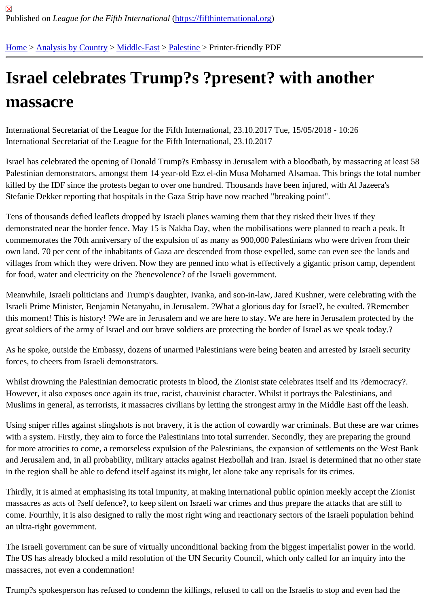## [Isra](https://fifthinternational.org/)[el celebra](https://fifthinternational.org/category/1)t[es Tru](https://fifthinternational.org/category/1/178)[mp?s](https://fifthinternational.org/category/1/178/192) ?present? with another massacre

International Secretariat of the League for the Fifth International, 23.10.2017 Tue, 15/05/2018 - 10:26 International Secretariat of the League for the Fifth International, 23.10.2017

Israel has celebrated the opening of Donald Trump?s Embassy in Jerusalem with a bloodbath, by massacring at le Palestinian demonstrators, amongst them 14 year-old Ezz el-din Musa Mohamed Alsamaa. This brings the total nu killed by the IDF since the protests began to over one hundred. Thousands have been injured, with Al Jazeera's Stefanie Dekker reporting that hospitals in the Gaza Strip have now reached "breaking point".

Tens of thousands defied leaflets dropped by Israeli planes warning them that they risked their lives if they demonstrated near the border fence. May 15 is Nakba Day, when the mobilisations were planned to reach a peak. commemorates the 70th anniversary of the expulsion of as many as 900,000 Palestinians who were driven from the own land. 70 per cent of the inhabitants of Gaza are descended from those expelled, some can even see the land villages from which they were driven. Now they are penned into what is effectively a gigantic prison camp, depend for food, water and electricity on the ?benevolence? of the Israeli government.

Meanwhile, Israeli politicians and Trump's daughter, Ivanka, and son-in-law, Jared Kushner, were celebrating with the Israeli Prime Minister, Benjamin Netanyahu, in Jerusalem. ?What a glorious day for Israel?, he exulted. ?Rememb this moment! This is history! ?We are in Jerusalem and we are here to stay. We are here in Jerusalem protected b great soldiers of the army of Israel and our brave soldiers are protecting the border of Israel as we speak today.?

As he spoke, outside the Embassy, dozens of unarmed Palestinians were being beaten and arrested by Israeli see forces, to cheers from Israeli demonstrators.

Whilst drowning the Palestinian democratic protests in blood, the Zionist state celebrates itself and its ?democracy However, it also exposes once again its true, racist, chauvinist character. Whilst it portrays the Palestinians, and Muslims in general, as terrorists, it massacres civilians by letting the strongest army in the Middle East off the leas

Using sniper rifles against slingshots is not bravery, it is the action of cowardly war criminals. But these are war cri with a system. Firstly, they aim to force the Palestinians into total surrender. Secondly, they are preparing the grou for more atrocities to come, a remorseless expulsion of the Palestinians, the expansion of settlements on the Wes and Jerusalem and, in all probability, military attacks against Hezbollah and Iran. Israel is determined that no other in the region shall be able to defend itself against its might, let alone take any reprisals for its crimes.

Thirdly, it is aimed at emphasising its total impunity, at making international public opinion meekly accept the Zioni massacres as acts of ?self defence?, to keep silent on Israeli war crimes and thus prepare the attacks that are still come. Fourthly, it is also designed to rally the most right wing and reactionary sectors of the Israeli population beh an ultra-right government.

The Israeli government can be sure of virtually unconditional backing from the biggest imperialist power in the wor The US has already blocked a mild resolution of the UN Security Council, which only called for an inquiry into the massacres, not even a condemnation!

Trump?s spokesperson has refused to condemn the killings, refused to call on the Israelis to stop and even had th